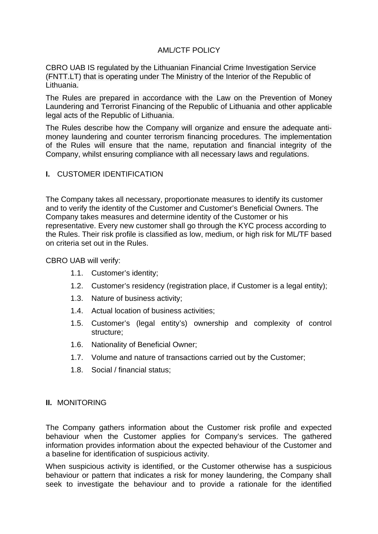# AML/CTF POLICY

CBRO UAB IS regulated by the Lithuanian Financial Crime Investigation Service (FNTT.LT) that is operating under The Ministry of the Interior of the Republic of Lithuania.

The Rules are prepared in accordance with the Law on the Prevention of Money Laundering and Terrorist Financing of the Republic of Lithuania and other applicable legal acts of the Republic of Lithuania.

The Rules describe how the Company will organize and ensure the adequate antimoney laundering and counter terrorism financing procedures. The implementation of the Rules will ensure that the name, reputation and financial integrity of the Company, whilst ensuring compliance with all necessary laws and regulations.

#### **I.** CUSTOMER IDENTIFICATION

The Company takes all necessary, proportionate measures to identify its customer and to verify the identity of the Customer and Customer's Beneficial Owners. The Company takes measures and determine identity of the Customer or his representative. Every new customer shall go through the KYC process according to the Rules. Their risk profile is classified as low, medium, or high risk for ML/TF based on criteria set out in the Rules.

CBRO UAB will verify:

- 1.1. Customer's identity;
- 1.2. Customer's residency (registration place, if Customer is a legal entity);
- 1.3. Nature of business activity;
- 1.4. Actual location of business activities;
- 1.5. Customer's (legal entity's) ownership and complexity of control structure;
- 1.6. Nationality of Beneficial Owner;
- 1.7. Volume and nature of transactions carried out by the Customer;
- 1.8. Social / financial status;

#### **II.** MONITORING

The Company gathers information about the Customer risk profile and expected behaviour when the Customer applies for Company's services. The gathered information provides information about the expected behaviour of the Customer and a baseline for identification of suspicious activity.

When suspicious activity is identified, or the Customer otherwise has a suspicious behaviour or pattern that indicates a risk for money laundering, the Company shall seek to investigate the behaviour and to provide a rationale for the identified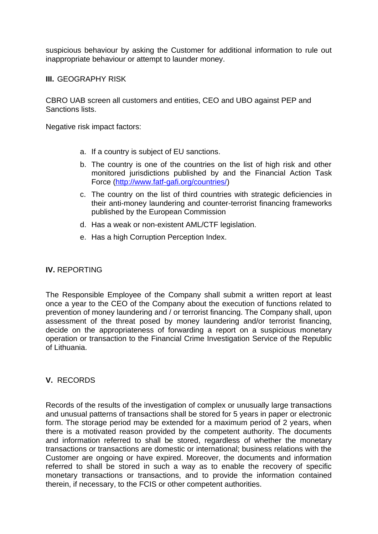suspicious behaviour by asking the Customer for additional information to rule out inappropriate behaviour or attempt to launder money.

**III.** GEOGRAPHY RISK

CBRO UAB screen all customers and entities, CEO and UBO against PEP and Sanctions lists.

Negative risk impact factors:

- a. If a country is subject of EU sanctions.
- b. The country is one of the countries on the list of high risk and other monitored jurisdictions published by and the Financial Action Task Force [\(http://www.fatf-gafi.org/countries/\)](http://www.fatf-gafi.org/countries/)
- c. The country on the list of third countries with strategic deficiencies in their anti-money laundering and counter-terrorist financing frameworks published by the European Commission
- d. Has a weak or non-existent AML/CTF legislation.
- e. Has a high Corruption Perception Index.

# **IV.** REPORTING

The Responsible Employee of the Company shall submit a written report at least once a year to the CEO of the Company about the execution of functions related to prevention of money laundering and / or terrorist financing. The Company shall, upon assessment of the threat posed by money laundering and/or terrorist financing, decide on the appropriateness of forwarding a report on a suspicious monetary operation or transaction to the Financial Crime Investigation Service of the Republic of Lithuania.

# **V.** RECORDS

Records of the results of the investigation of complex or unusually large transactions and unusual patterns of transactions shall be stored for 5 years in paper or electronic form. The storage period may be extended for a maximum period of 2 years, when there is a motivated reason provided by the competent authority. The documents and information referred to shall be stored, regardless of whether the monetary transactions or transactions are domestic or international; business relations with the Customer are ongoing or have expired. Moreover, the documents and information referred to shall be stored in such a way as to enable the recovery of specific monetary transactions or transactions, and to provide the information contained therein, if necessary, to the FCIS or other competent authorities.